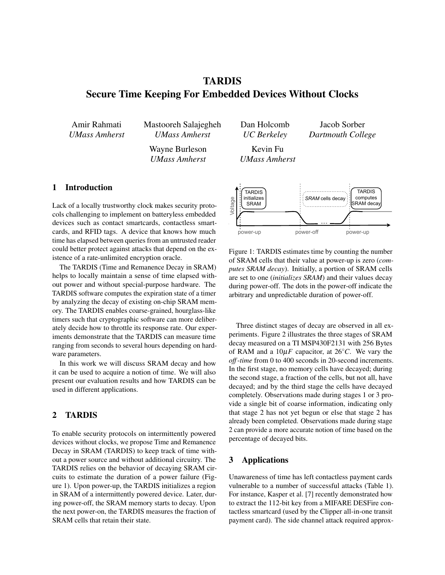# TARDIS Secure Time Keeping For Embedded Devices Without Clocks

Amir Rahmati *UMass Amherst* Mastooreh Salajegheh *UMass Amherst*

> Wayne Burleson *UMass Amherst*

Dan Holcomb *UC Berkeley*

Jacob Sorber *Dartmouth College*

Kevin Fu *UMass Amherst*

# 1 Introduction

Lack of a locally trustworthy clock makes security protocols challenging to implement on batteryless embedded devices such as contact smartcards, contactless smartcards, and RFID tags. A device that knows how much time has elapsed between queries from an untrusted reader could better protect against attacks that depend on the existence of a rate-unlimited encryption oracle.

The TARDIS (Time and Remanence Decay in SRAM) helps to locally maintain a sense of time elapsed without power and without special-purpose hardware. The TARDIS software computes the expiration state of a timer by analyzing the decay of existing on-chip SRAM memory. The TARDIS enables coarse-grained, hourglass-like timers such that cryptographic software can more deliberately decide how to throttle its response rate. Our experiments demonstrate that the TARDIS can measure time ranging from seconds to several hours depending on hardware parameters.

In this work we will discuss SRAM decay and how it can be used to acquire a notion of time. We will also present our evaluation results and how TARDIS can be used in different applications.

## 2 TARDIS

To enable security protocols on intermittently powered devices without clocks, we propose Time and Remanence Decay in SRAM (TARDIS) to keep track of time without a power source and without additional circuitry. The TARDIS relies on the behavior of decaying SRAM circuits to estimate the duration of a power failure (Figure 1). Upon power-up, the TARDIS initializes a region in SRAM of a intermittently powered device. Later, during power-off, the SRAM memory starts to decay. Upon the next power-on, the TARDIS measures the fraction of SRAM cells that retain their state.



Figure 1: TARDIS estimates time by counting the number of SRAM cells that their value at power-up is zero (*computes SRAM decay*). Initially, a portion of SRAM cells are set to one (*initializes SRAM*) and their values decay during power-off. The dots in the power-off indicate the arbitrary and unpredictable duration of power-off.

Three distinct stages of decay are observed in all experiments. Figure 2 illustrates the three stages of SRAM decay measured on a TI MSP430F2131 with 256 Bytes of RAM and a  $10\mu$ *F* capacitor, at 26<sup>°</sup>*C*. We vary the *off*-*time* from 0 to 400 seconds in 20-second increments. In the first stage, no memory cells have decayed; during the second stage, a fraction of the cells, but not all, have decayed; and by the third stage the cells have decayed completely. Observations made during stages 1 or 3 provide a single bit of coarse information, indicating only that stage 2 has not yet begun or else that stage 2 has already been completed. Observations made during stage 2 can provide a more accurate notion of time based on the percentage of decayed bits.

## 3 Applications

Unawareness of time has left contactless payment cards vulnerable to a number of successful attacks (Table 1). For instance, Kasper et al. [7] recently demonstrated how to extract the 112-bit key from a MIFARE DESFire contactless smartcard (used by the Clipper all-in-one transit payment card). The side channel attack required approx-